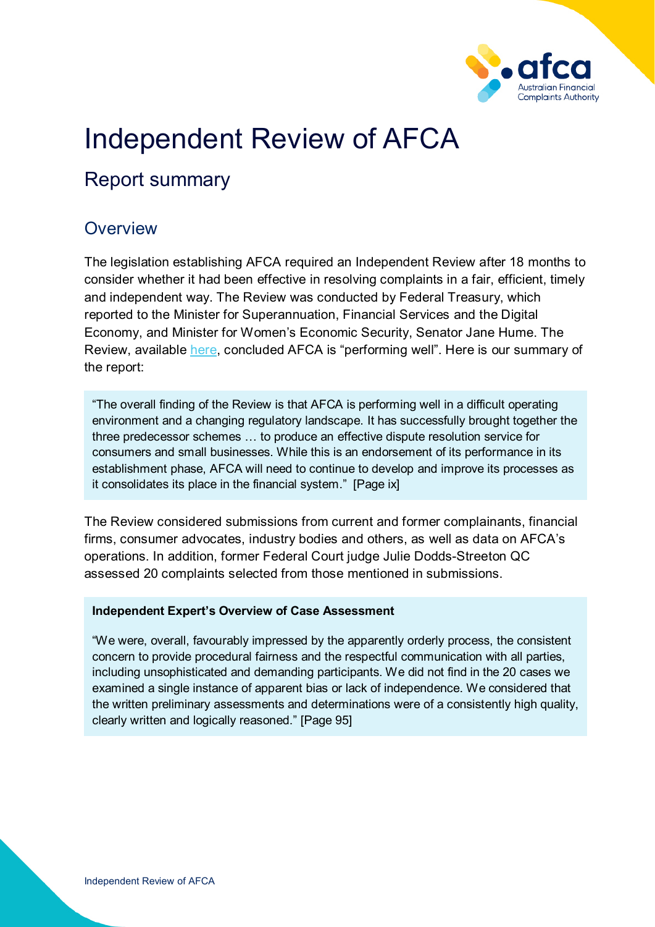

# Independent Review of AFCA

# Report summary

## **Overview**

The legislation establishing AFCA required an Independent Review after 18 months to consider whether it had been effective in resolving complaints in a fair, efficient, timely and independent way. The Review was conducted by Federal Treasury, which reported to the Minister for Superannuation, Financial Services and the Digital Economy, and Minister for Women's Economic Security, Senator Jane Hume. The Review, available [here,](https://treasury.gov.au/review/review-australian-financial-complaints-authority) concluded AFCA is "performing well". Here is our summary of the report:

"The overall finding of the Review is that AFCA is performing well in a difficult operating environment and a changing regulatory landscape. It has successfully brought together the three predecessor schemes … to produce an effective dispute resolution service for consumers and small businesses. While this is an endorsement of its performance in its establishment phase, AFCA will need to continue to develop and improve its processes as it consolidates its place in the financial system." [Page ix]

The Review considered submissions from current and former complainants, financial firms, consumer advocates, industry bodies and others, as well as data on AFCA's operations. In addition, former Federal Court judge Julie Dodds-Streeton QC assessed 20 complaints selected from those mentioned in submissions.

#### **Independent Expert's Overview of Case Assessment**

"We were, overall, favourably impressed by the apparently orderly process, the consistent concern to provide procedural fairness and the respectful communication with all parties, including unsophisticated and demanding participants. We did not find in the 20 cases we examined a single instance of apparent bias or lack of independence. We considered that the written preliminary assessments and determinations were of a consistently high quality, clearly written and logically reasoned." [Page 95]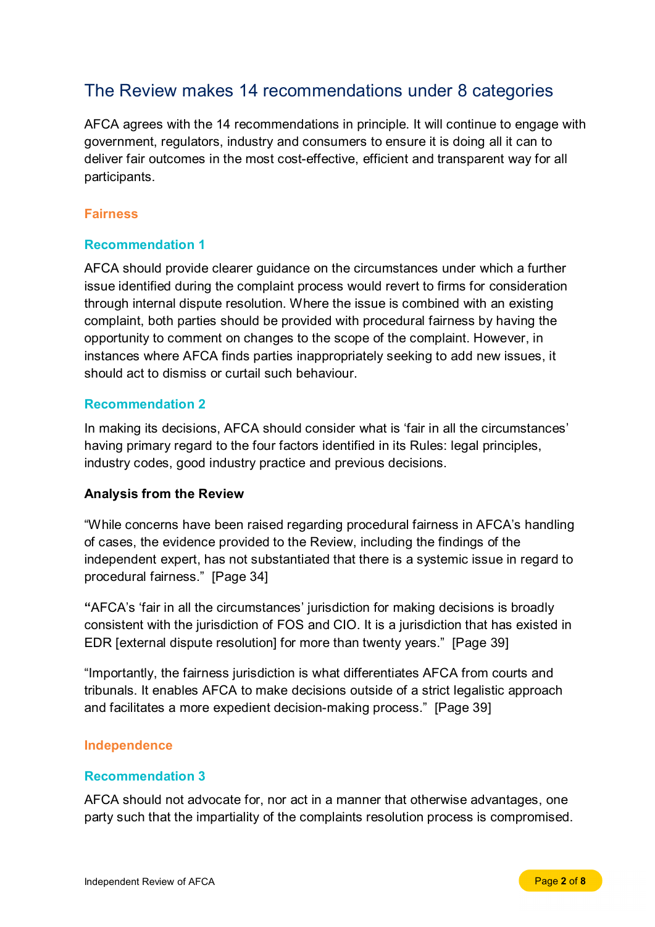### The Review makes 14 recommendations under 8 categories

AFCA agrees with the 14 recommendations in principle. It will continue to engage with government, regulators, industry and consumers to ensure it is doing all it can to deliver fair outcomes in the most cost-effective, efficient and transparent way for all participants.

#### **Fairness**

#### **Recommendation 1**

AFCA should provide clearer guidance on the circumstances under which a further issue identified during the complaint process would revert to firms for consideration through internal dispute resolution. Where the issue is combined with an existing complaint, both parties should be provided with procedural fairness by having the opportunity to comment on changes to the scope of the complaint. However, in instances where AFCA finds parties inappropriately seeking to add new issues, it should act to dismiss or curtail such behaviour.

#### **Recommendation 2**

In making its decisions, AFCA should consider what is 'fair in all the circumstances' having primary regard to the four factors identified in its Rules: legal principles, industry codes, good industry practice and previous decisions.

#### **Analysis from the Review**

"While concerns have been raised regarding procedural fairness in AFCA's handling of cases, the evidence provided to the Review, including the findings of the independent expert, has not substantiated that there is a systemic issue in regard to procedural fairness." [Page 34]

**"**AFCA's 'fair in all the circumstances' jurisdiction for making decisions is broadly consistent with the jurisdiction of FOS and CIO. It is a jurisdiction that has existed in EDR [external dispute resolution] for more than twenty years." [Page 39]

"Importantly, the fairness jurisdiction is what differentiates AFCA from courts and tribunals. It enables AFCA to make decisions outside of a strict legalistic approach and facilitates a more expedient decision-making process." [Page 39]

#### **Independence**

#### **Recommendation 3**

AFCA should not advocate for, nor act in a manner that otherwise advantages, one party such that the impartiality of the complaints resolution process is compromised.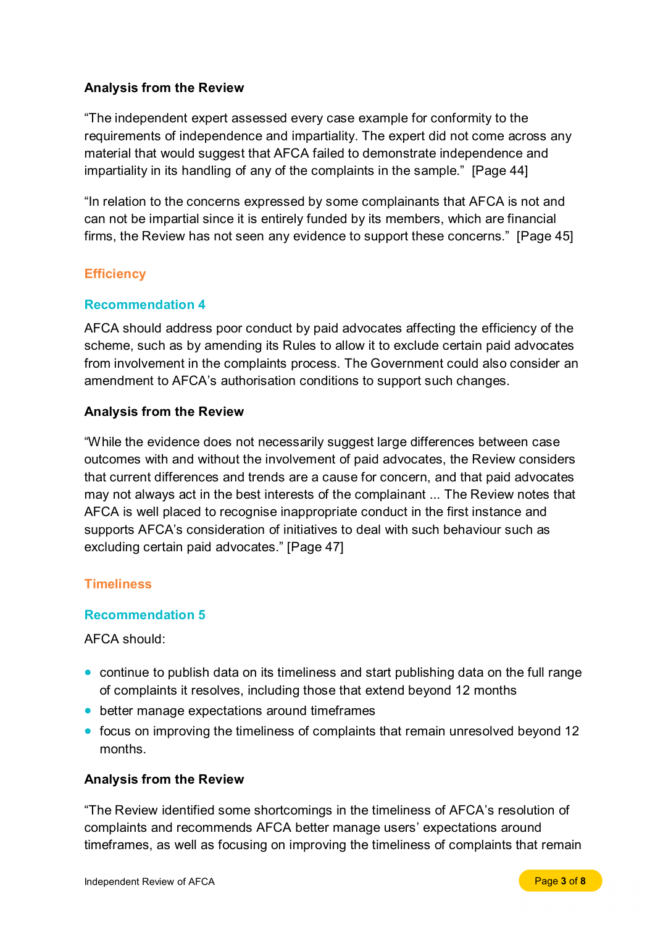#### **Analysis from the Review**

"The independent expert assessed every case example for conformity to the requirements of independence and impartiality. The expert did not come across any material that would suggest that AFCA failed to demonstrate independence and impartiality in its handling of any of the complaints in the sample." [Page 44]

"In relation to the concerns expressed by some complainants that AFCA is not and can not be impartial since it is entirely funded by its members, which are financial firms, the Review has not seen any evidence to support these concerns." [Page 45]

#### **Efficiency**

#### **Recommendation 4**

AFCA should address poor conduct by paid advocates affecting the efficiency of the scheme, such as by amending its Rules to allow it to exclude certain paid advocates from involvement in the complaints process. The Government could also consider an amendment to AFCA's authorisation conditions to support such changes.

#### **Analysis from the Review**

"While the evidence does not necessarily suggest large differences between case outcomes with and without the involvement of paid advocates, the Review considers that current differences and trends are a cause for concern, and that paid advocates may not always act in the best interests of the complainant ... The Review notes that AFCA is well placed to recognise inappropriate conduct in the first instance and supports AFCA's consideration of initiatives to deal with such behaviour such as excluding certain paid advocates." [Page 47]

#### **Timeliness**

#### **Recommendation 5**

AFCA should:

- continue to publish data on its timeliness and start publishing data on the full range of complaints it resolves, including those that extend beyond 12 months
- better manage expectations around timeframes
- focus on improving the timeliness of complaints that remain unresolved beyond 12 months.

#### **Analysis from the Review**

"The Review identified some shortcomings in the timeliness of AFCA's resolution of complaints and recommends AFCA better manage users' expectations around timeframes, as well as focusing on improving the timeliness of complaints that remain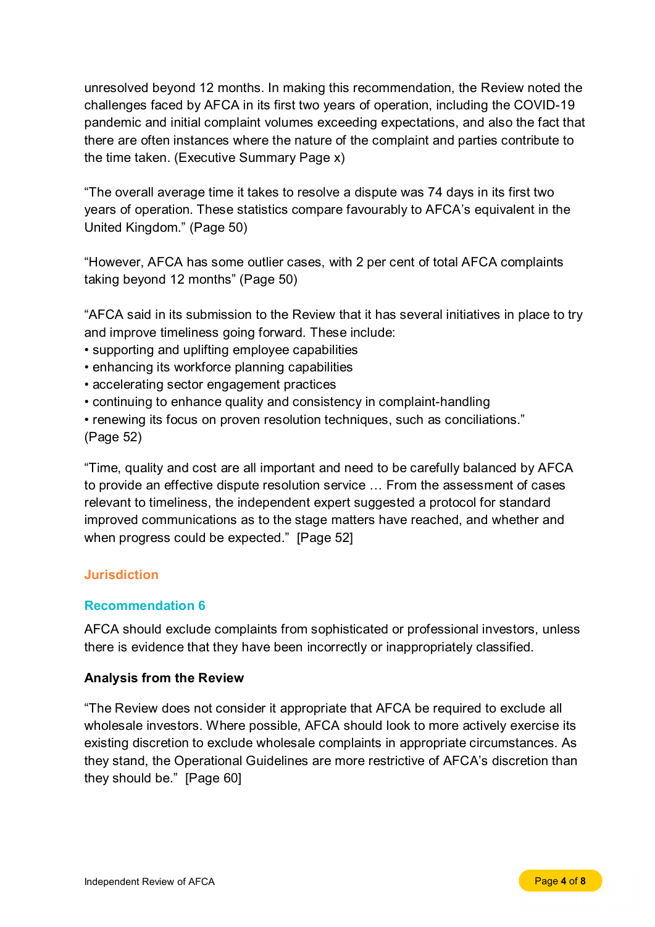unresolved beyond 12 months. In making this recommendation, the Review noted the challenges faced by AFCA in its first two years of operation, including the COVID-19 pandemic and initial complaint volumes exceeding expectations, and also the fact that there are often instances where the nature of the complaint and parties contribute to the time taken. (Executive Summary Page x)

"The overall average time it takes to resolve a dispute was 74 days in its first two years of operation. These statistics compare favourably to AFCA's equivalent in the United Kingdom." (Page 50)

"However, AFCA has some outlier cases, with 2 per cent of total AFCA complaints taking beyond 12 months" (Page 50)

"AFCA said in its submission to the Review that it has several initiatives in place to try and improve timeliness going forward. These include:

- supporting and uplifting employee capabilities
- enhancing its workforce planning capabilities
- accelerating sector engagement practices
- continuing to enhance quality and consistency in complaint-handling
- renewing its focus on proven resolution techniques, such as conciliations." (Page 52)

"Time, quality and cost are all important and need to be carefully balanced by AFCA to provide an effective dispute resolution service … From the assessment of cases relevant to timeliness, the independent expert suggested a protocol for standard improved communications as to the stage matters have reached, and whether and when progress could be expected." [Page 52]

#### **Jurisdiction**

#### **Recommendation 6**

AFCA should exclude complaints from sophisticated or professional investors, unless there is evidence that they have been incorrectly or inappropriately classified.

#### **Analysis from the Review**

"The Review does not consider it appropriate that AFCA be required to exclude all wholesale investors. Where possible, AFCA should look to more actively exercise its existing discretion to exclude wholesale complaints in appropriate circumstances. As they stand, the Operational Guidelines are more restrictive of AFCA's discretion than they should be." [Page 60]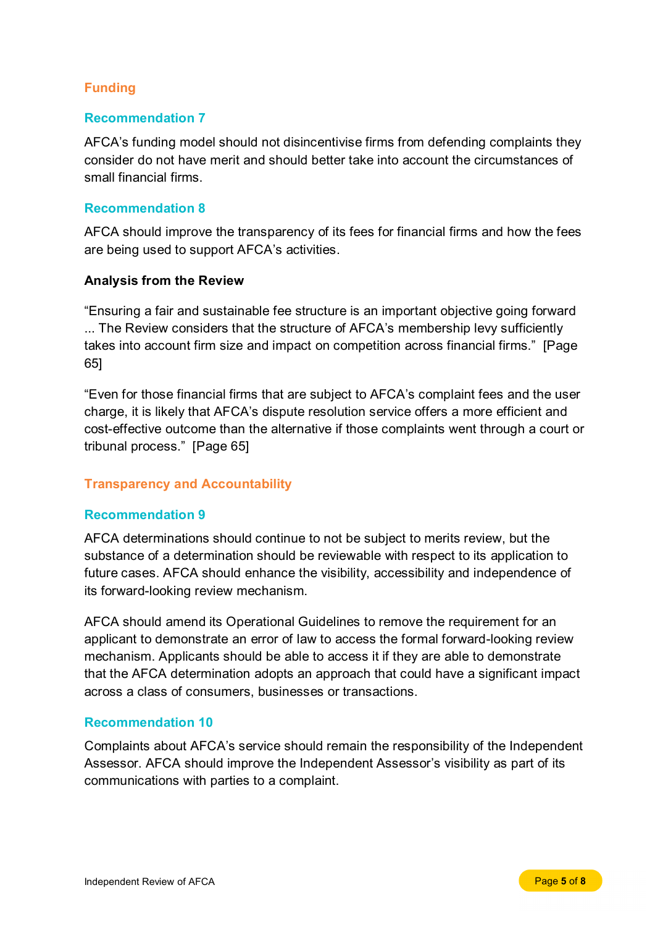#### **Funding**

#### **Recommendation 7**

AFCA's funding model should not disincentivise firms from defending complaints they consider do not have merit and should better take into account the circumstances of small financial firms.

#### **Recommendation 8**

AFCA should improve the transparency of its fees for financial firms and how the fees are being used to support AFCA's activities.

#### **Analysis from the Review**

"Ensuring a fair and sustainable fee structure is an important objective going forward ... The Review considers that the structure of AFCA's membership levy sufficiently takes into account firm size and impact on competition across financial firms." [Page 65]

"Even for those financial firms that are subject to AFCA's complaint fees and the user charge, it is likely that AFCA's dispute resolution service offers a more efficient and cost-effective outcome than the alternative if those complaints went through a court or tribunal process." [Page 65]

#### **Transparency and Accountability**

#### **Recommendation 9**

AFCA determinations should continue to not be subject to merits review, but the substance of a determination should be reviewable with respect to its application to future cases. AFCA should enhance the visibility, accessibility and independence of its forward-looking review mechanism.

AFCA should amend its Operational Guidelines to remove the requirement for an applicant to demonstrate an error of law to access the formal forward-looking review mechanism. Applicants should be able to access it if they are able to demonstrate that the AFCA determination adopts an approach that could have a significant impact across a class of consumers, businesses or transactions.

#### **Recommendation 10**

Complaints about AFCA's service should remain the responsibility of the Independent Assessor. AFCA should improve the Independent Assessor's visibility as part of its communications with parties to a complaint.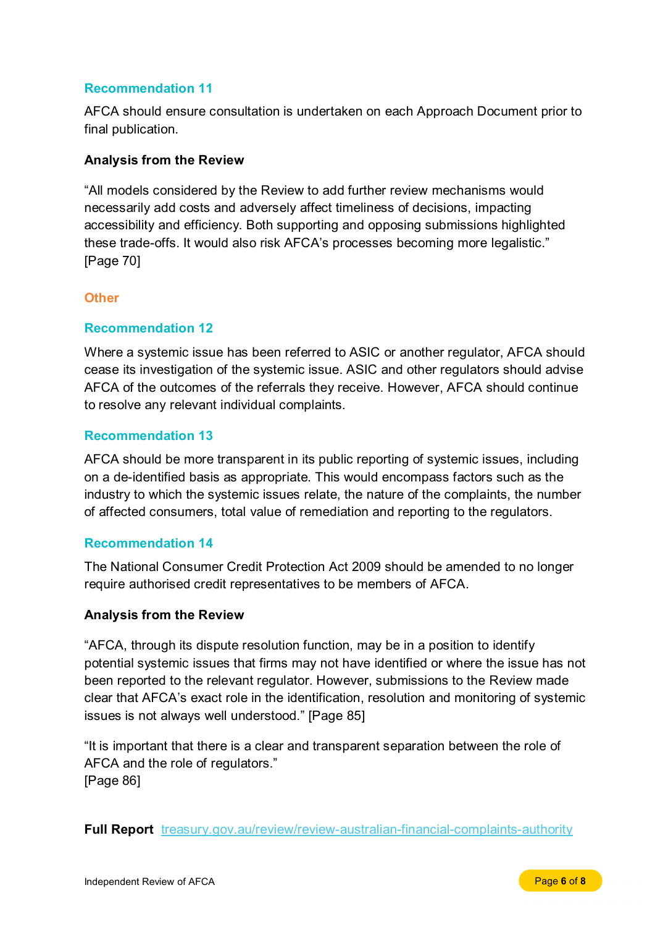#### **Recommendation 11**

AFCA should ensure consultation is undertaken on each Approach Document prior to final publication.

#### **Analysis from the Review**

"All models considered by the Review to add further review mechanisms would necessarily add costs and adversely affect timeliness of decisions, impacting accessibility and efficiency. Both supporting and opposing submissions highlighted these trade-offs. It would also risk AFCA's processes becoming more legalistic." [Page 70]

#### **Other**

#### **Recommendation 12**

Where a systemic issue has been referred to ASIC or another regulator, AFCA should cease its investigation of the systemic issue. ASIC and other regulators should advise AFCA of the outcomes of the referrals they receive. However, AFCA should continue to resolve any relevant individual complaints.

#### **Recommendation 13**

AFCA should be more transparent in its public reporting of systemic issues, including on a de-identified basis as appropriate. This would encompass factors such as the industry to which the systemic issues relate, the nature of the complaints, the number of affected consumers, total value of remediation and reporting to the regulators.

#### **Recommendation 14**

The National Consumer Credit Protection Act 2009 should be amended to no longer require authorised credit representatives to be members of AFCA.

#### **Analysis from the Review**

"AFCA, through its dispute resolution function, may be in a position to identify potential systemic issues that firms may not have identified or where the issue has not been reported to the relevant regulator. However, submissions to the Review made clear that AFCA's exact role in the identification, resolution and monitoring of systemic issues is not always well understood." [Page 85]

"It is important that there is a clear and transparent separation between the role of AFCA and the role of regulators." [Page 86]

**Full Report** [treasury.gov.au/review/review-australian-financial-complaints-authority](https://treasury.gov.au/review/review-australian-financial-complaints-authority)